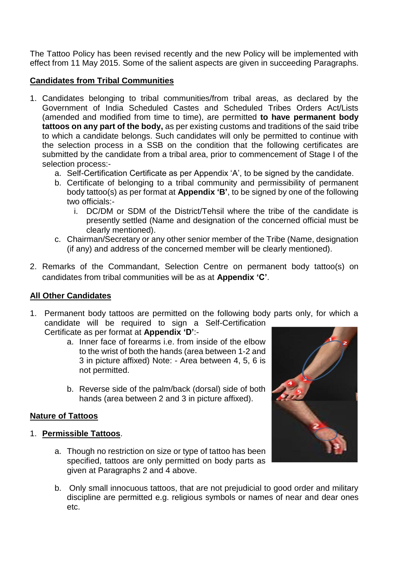The Tattoo Policy has been revised recently and the new Policy will be implemented with effect from 11 May 2015. Some of the salient aspects are given in succeeding Paragraphs.

#### **Candidates from Tribal Communities**

- 1. Candidates belonging to tribal communities/from tribal areas, as declared by the Government of India Scheduled Castes and Scheduled Tribes Orders Act/Lists (amended and modified from time to time), are permitted **to have permanent body tattoos on any part of the body,** as per existing customs and traditions of the said tribe to which a candidate belongs. Such candidates will only be permitted to continue with the selection process in a SSB on the condition that the following certificates are submitted by the candidate from a tribal area, prior to commencement of Stage I of the selection process:
	- a. Self-Certification Certificate as per Appendix 'A', to be signed by the candidate.
	- b. Certificate of belonging to a tribal community and permissibility of permanent body tattoo(s) as per format at **Appendix 'B'**, to be signed by one of the following two officials:
		- i. DC/DM or SDM of the District/Tehsil where the tribe of the candidate is presently settled (Name and designation of the concerned official must be clearly mentioned).
	- c. Chairman/Secretary or any other senior member of the Tribe (Name, designation (if any) and address of the concerned member will be clearly mentioned).
- 2. Remarks of the Commandant, Selection Centre on permanent body tattoo(s) on candidates from tribal communities will be as at **Appendix 'C'**.

#### **All Other Candidates**

- 1. Permanent body tattoos are permitted on the following body parts only, for which a candidate will be required to sign a Self-Certification Certificate as per format at **Appendix 'D'**:
	- a. Inner face of forearms i.e. from inside of the elbow to the wrist of both the hands (area between 1-2 and 3 in picture affixed) Note: - Area between 4, 5, 6 is not permitted.
	- b. Reverse side of the palm/back (dorsal) side of both hands (area between 2 and 3 in picture affixed).

## **Nature of Tattoos**

- 1. **Permissible Tattoos**.
	- a. Though no restriction on size or type of tattoo has been specified, tattoos are only permitted on body parts as given at Paragraphs 2 and 4 above.



b. Only small innocuous tattoos, that are not prejudicial to good order and military discipline are permitted e.g. religious symbols or names of near and dear ones etc.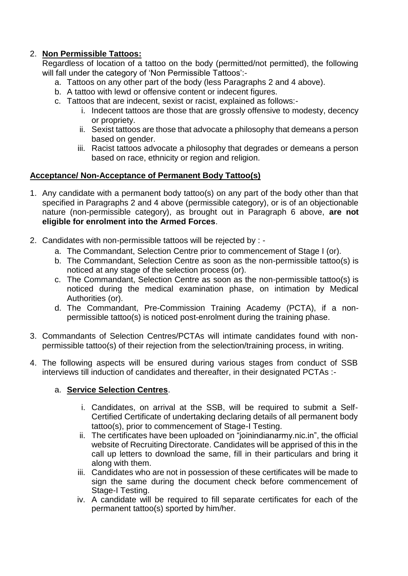## 2. **Non Permissible Tattoos:**

Regardless of location of a tattoo on the body (permitted/not permitted), the following will fall under the category of 'Non Permissible Tattoos':-

- a. Tattoos on any other part of the body (less Paragraphs 2 and 4 above).
- b. A tattoo with lewd or offensive content or indecent figures.
- c. Tattoos that are indecent, sexist or racist, explained as follows:
	- i. Indecent tattoos are those that are grossly offensive to modesty, decency or propriety.
	- ii. Sexist tattoos are those that advocate a philosophy that demeans a person based on gender.
	- iii. Racist tattoos advocate a philosophy that degrades or demeans a person based on race, ethnicity or region and religion.

## **Acceptance/ Non-Acceptance of Permanent Body Tattoo(s)**

- 1. Any candidate with a permanent body tattoo(s) on any part of the body other than that specified in Paragraphs 2 and 4 above (permissible category), or is of an objectionable nature (non-permissible category), as brought out in Paragraph 6 above, **are not eligible for enrolment into the Armed Forces**.
- 2. Candidates with non-permissible tattoos will be rejected by :
	- a. The Commandant, Selection Centre prior to commencement of Stage I (or).
	- b. The Commandant, Selection Centre as soon as the non-permissible tattoo(s) is noticed at any stage of the selection process (or).
	- c. The Commandant, Selection Centre as soon as the non-permissible tattoo(s) is noticed during the medical examination phase, on intimation by Medical Authorities (or).
	- d. The Commandant, Pre-Commission Training Academy (PCTA), if a nonpermissible tattoo(s) is noticed post-enrolment during the training phase.
- 3. Commandants of Selection Centres/PCTAs will intimate candidates found with nonpermissible tattoo(s) of their rejection from the selection/training process, in writing.
- 4. The following aspects will be ensured during various stages from conduct of SSB interviews till induction of candidates and thereafter, in their designated PCTAs :-

## a. **Service Selection Centres**.

- i. Candidates, on arrival at the SSB, will be required to submit a Self-Certified Certificate of undertaking declaring details of all permanent body tattoo(s), prior to commencement of Stage-I Testing.
- ii. The certificates have been uploaded on "joinindianarmy.nic.in", the official website of Recruiting Directorate. Candidates will be apprised of this in the call up letters to download the same, fill in their particulars and bring it along with them.
- iii. Candidates who are not in possession of these certificates will be made to sign the same during the document check before commencement of Stage-I Testing.
- iv. A candidate will be required to fill separate certificates for each of the permanent tattoo(s) sported by him/her.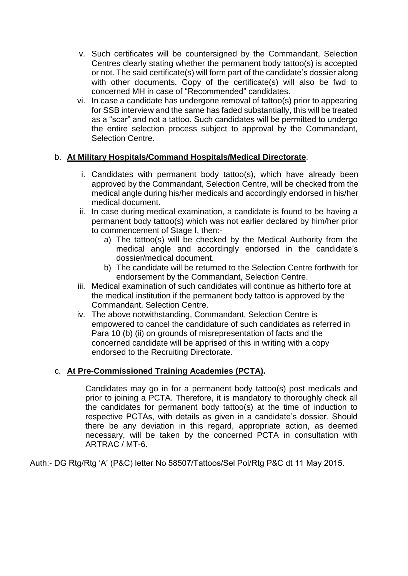- v. Such certificates will be countersigned by the Commandant, Selection Centres clearly stating whether the permanent body tattoo(s) is accepted or not. The said certificate(s) will form part of the candidate's dossier along with other documents. Copy of the certificate(s) will also be fwd to concerned MH in case of "Recommended" candidates.
- vi. In case a candidate has undergone removal of tattoo(s) prior to appearing for SSB interview and the same has faded substantially, this will be treated as a "scar" and not a tattoo. Such candidates will be permitted to undergo the entire selection process subject to approval by the Commandant, Selection Centre.

## b. **At Military Hospitals/Command Hospitals/Medical Directorate**.

- i. Candidates with permanent body tattoo(s), which have already been approved by the Commandant, Selection Centre, will be checked from the medical angle during his/her medicals and accordingly endorsed in his/her medical document.
- ii. In case during medical examination, a candidate is found to be having a permanent body tattoo(s) which was not earlier declared by him/her prior to commencement of Stage I, then:
	- a) The tattoo(s) will be checked by the Medical Authority from the medical angle and accordingly endorsed in the candidate's dossier/medical document.
	- b) The candidate will be returned to the Selection Centre forthwith for endorsement by the Commandant, Selection Centre.
- iii. Medical examination of such candidates will continue as hitherto fore at the medical institution if the permanent body tattoo is approved by the Commandant, Selection Centre.
- iv. The above notwithstanding, Commandant, Selection Centre is empowered to cancel the candidature of such candidates as referred in Para 10 (b) (ii) on grounds of misrepresentation of facts and the concerned candidate will be apprised of this in writing with a copy endorsed to the Recruiting Directorate.

## c. **At Pre-Commissioned Training Academies (PCTA).**

Candidates may go in for a permanent body tattoo(s) post medicals and prior to joining a PCTA. Therefore, it is mandatory to thoroughly check all the candidates for permanent body tattoo(s) at the time of induction to respective PCTAs, with details as given in a candidate's dossier. Should there be any deviation in this regard, appropriate action, as deemed necessary, will be taken by the concerned PCTA in consultation with ARTRAC / MT-6.

Auth:- DG Rtg/Rtg 'A' (P&C) letter No 58507/Tattoos/Sel Pol/Rtg P&C dt 11 May 2015.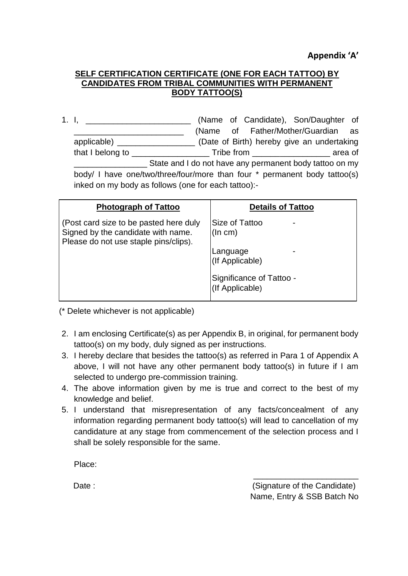#### **SELF CERTIFICATION CERTIFICATE (ONE FOR EACH TATTOO) BY CANDIDATES FROM TRIBAL COMMUNITIES WITH PERMANENT BODY TATTOO(S)**

1. I, **I**, **Example 20** (Name of Candidate), Son/Daughter of \_\_\_\_\_\_\_\_\_\_\_\_\_\_\_\_\_\_\_\_\_\_\_\_ (Name of Father/Mother/Guardian as applicable) \_\_\_\_\_\_\_\_\_\_\_\_\_\_\_\_\_ (Date of Birth) hereby give an undertaking that I belong to \_\_\_\_\_\_\_\_\_\_\_\_\_\_\_\_\_ Tribe from \_\_\_\_\_\_\_\_\_\_\_\_\_\_\_\_\_ area of State and I do not have any permanent body tattoo on my body/ I have one/two/three/four/more than four \* permanent body tattoo(s) inked on my body as follows (one for each tattoo):-

| <b>Photograph of Tattoo</b>                                                                                           | <b>Details of Tattoo</b>                    |
|-----------------------------------------------------------------------------------------------------------------------|---------------------------------------------|
| (Post card size to be pasted here duly<br>Signed by the candidate with name.<br>Please do not use staple pins/clips). | Size of Tattoo<br>(ln cm)                   |
|                                                                                                                       | Language<br>(If Applicable)                 |
|                                                                                                                       | Significance of Tattoo -<br>(If Applicable) |

(\* Delete whichever is not applicable)

- 2. I am enclosing Certificate(s) as per Appendix B, in original, for permanent body tattoo(s) on my body, duly signed as per instructions.
- 3. I hereby declare that besides the tattoo(s) as referred in Para 1 of Appendix A above, I will not have any other permanent body tattoo(s) in future if I am selected to undergo pre-commission training.
- 4. The above information given by me is true and correct to the best of my knowledge and belief.
- 5. I understand that misrepresentation of any facts/concealment of any information regarding permanent body tattoo(s) will lead to cancellation of my candidature at any stage from commencement of the selection process and I shall be solely responsible for the same.

Place:

Date :  $\qquad \qquad$  Date : Name, Entry & SSB Batch No

\_\_\_\_\_\_\_\_\_\_\_\_\_\_\_\_\_\_\_\_\_\_\_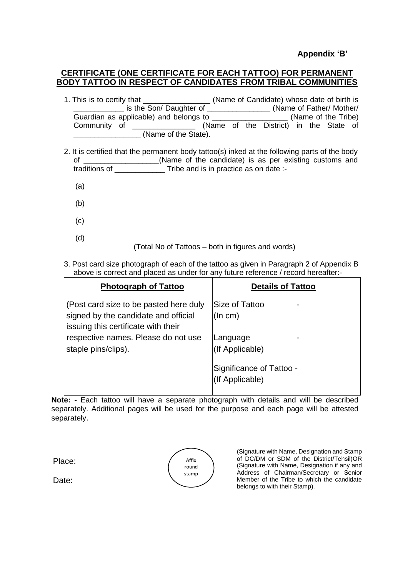#### **Appendix 'B'**

#### **CERTIFICATE (ONE CERTIFICATE FOR EACH TATTOO) FOR PERMANENT BODY TATTOO IN RESPECT OF CANDIDATES FROM TRIBAL COMMUNITIES**

1. This is to certify that \_\_\_\_\_\_\_\_\_\_\_\_\_\_\_\_ (Name of Candidate) whose date of birth is \_\_\_\_\_\_\_\_\_\_\_\_ is the Son/ Daughter of \_\_\_\_\_\_\_\_\_\_\_\_\_\_\_ (Name of Father/ Mother/ Guardian as applicable) and belongs to **Example 20** (Name of the Tribe) Community of \_\_\_\_\_\_\_\_\_\_\_\_\_\_\_\_\_\_ (Name of the District) in the State of (Name of the State).

- 2. It is certified that the permanent body tattoo(s) inked at the following parts of the body of \_\_\_\_\_\_\_\_\_\_\_\_\_\_\_\_\_\_(Name of the candidate) is as per existing customs and traditions of Tribe and is in practice as on date :-
	- (a)
	- (b)
	- (c)
	- (d)

(Total No of Tattoos – both in figures and words)

3. Post card size photograph of each of the tattoo as given in Paragraph 2 of Appendix B above is correct and placed as under for any future reference / record hereafter:-

| <b>Photograph of Tattoo</b>                                                                                           | <b>Details of Tattoo</b>                    |
|-----------------------------------------------------------------------------------------------------------------------|---------------------------------------------|
| (Post card size to be pasted here duly<br>signed by the candidate and official<br>issuing this certificate with their | Size of Tattoo<br>(ln cm)                   |
| respective names. Please do not use<br>staple pins/clips).                                                            | Language<br>(If Applicable)                 |
|                                                                                                                       | Significance of Tattoo -<br>(If Applicable) |

**Note: -** Each tattoo will have a separate photograph with details and will be described separately. Additional pages will be used for the purpose and each page will be attested separately.

Place:

Affix round stamp (Signature with Name, Designation and Stamp of DC/DM or SDM of the District/Tehsil)OR (Signature with Name, Designation if any and Address of Chairman/Secretary or Senior Member of the Tribe to which the candidate belongs to with their Stamp).

Date: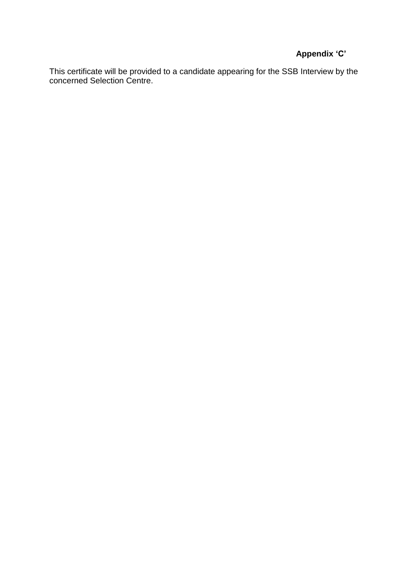# **Appendix 'C'**

This certificate will be provided to a candidate appearing for the SSB Interview by the concerned Selection Centre.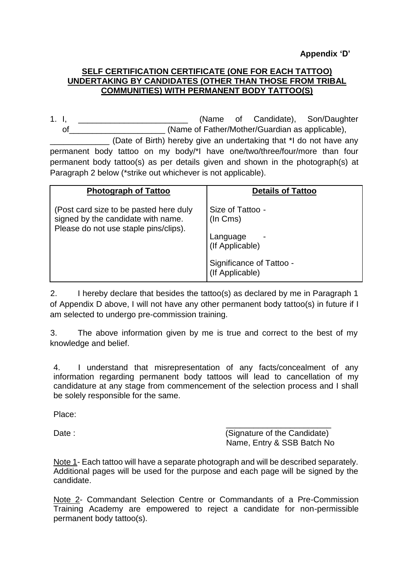**Appendix 'D'**

#### **SELF CERTIFICATION CERTIFICATE (ONE FOR EACH TATTOO) UNDERTAKING BY CANDIDATES (OTHER THAN THOSE FROM TRIBAL COMMUNITIES) WITH PERMANENT BODY TATTOO(S)**

1. I, \_\_\_\_\_\_\_\_\_\_\_\_\_\_\_\_\_\_\_\_\_\_\_\_\_\_\_\_\_\_\_ (Name of Candidate), Son/Daughter of complete the contract of Father/Mother/Guardian as applicable),

(Date of Birth) hereby give an undertaking that \*I do not have any permanent body tattoo on my body/\*I have one/two/three/four/more than four permanent body tattoo(s) as per details given and shown in the photograph(s) at Paragraph 2 below (\*strike out whichever is not applicable).

| <b>Photograph of Tattoo</b>                                                                                           | <b>Details of Tattoo</b>                    |
|-----------------------------------------------------------------------------------------------------------------------|---------------------------------------------|
| (Post card size to be pasted here duly<br>signed by the candidate with name.<br>Please do not use staple pins/clips). | Size of Tattoo -<br>(In Cms)                |
|                                                                                                                       | Language<br>(If Applicable)                 |
|                                                                                                                       | Significance of Tattoo -<br>(If Applicable) |

2. I hereby declare that besides the tattoo(s) as declared by me in Paragraph 1 of Appendix D above, I will not have any other permanent body tattoo(s) in future if I am selected to undergo pre-commission training.

3. The above information given by me is true and correct to the best of my knowledge and belief.

4. I understand that misrepresentation of any facts/concealment of any information regarding permanent body tattoos will lead to cancellation of my candidature at any stage from commencement of the selection process and I shall be solely responsible for the same.

Place:

\_\_\_\_\_\_\_\_\_\_\_\_\_\_\_\_\_\_\_\_\_\_\_ Date : (Signature of the Candidate) Name, Entry & SSB Batch No

Note 1- Each tattoo will have a separate photograph and will be described separately. Additional pages will be used for the purpose and each page will be signed by the candidate.

Note 2- Commandant Selection Centre or Commandants of a Pre-Commission Training Academy are empowered to reject a candidate for non-permissible permanent body tattoo(s).